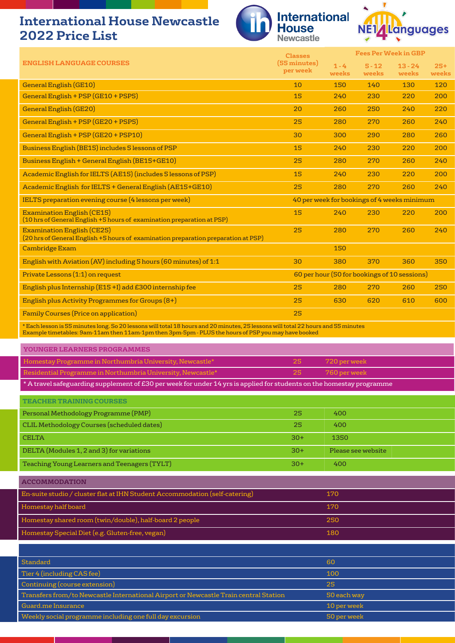## **International House Newcastle 2022 Price List**





|                                                                                                                                                                                                                                          | <b>Classes</b>           |                  | <b>Fees Per Week in GBP</b>                  |                    |                |  |
|------------------------------------------------------------------------------------------------------------------------------------------------------------------------------------------------------------------------------------------|--------------------------|------------------|----------------------------------------------|--------------------|----------------|--|
| <b>ENGLISH LANGUAGE COURSES</b>                                                                                                                                                                                                          | (55 minutes)<br>per week | $1 - 4$<br>weeks | $5 - 12$<br>weeks                            | $13 - 24$<br>weeks | $25+$<br>weeks |  |
| <b>General English (GE10)</b>                                                                                                                                                                                                            | 10                       | 150              | 140                                          | 130                | 120            |  |
| General English + PSP (GE10 + PSP5)                                                                                                                                                                                                      | 15                       | 240              | 230                                          | 220                | 200            |  |
| <b>General English (GE20)</b>                                                                                                                                                                                                            | 20                       | 260              | 250                                          | 240                | 220            |  |
| General English + PSP (GE20 + PSP5)                                                                                                                                                                                                      | 25                       | 280              | 270                                          | 260                | 240            |  |
| General English + PSP (GE20 + PSP10)                                                                                                                                                                                                     | 30                       | 300              | 290                                          | 280                | 260            |  |
| Business English (BE15) includes 5 lessons of PSP                                                                                                                                                                                        | 15                       | 240              | 230                                          | 220                | 200            |  |
| Business English + General English (BE15+GE10)                                                                                                                                                                                           | 25                       | 280              | 270                                          | 260                | 240            |  |
| Academic English for IELTS (AE15) (includes 5 lessons of PSP)                                                                                                                                                                            | 15                       | 240              | 230                                          | 220                | 200            |  |
| Academic English for IELTS + General English (AE15+GE10)                                                                                                                                                                                 | 25                       | 280              | 270                                          | 260                | 240            |  |
| IELTS preparation evening course (4 lessons per week)                                                                                                                                                                                    |                          |                  | 40 per week for bookings of 4 weeks minimum  |                    |                |  |
| <b>Examination English (CE15)</b><br>(10 hrs of General English +5 hours of examination preparation at PSP)                                                                                                                              | 15                       | 240              | 230                                          | 220                | 200            |  |
| <b>Examination English (CE25)</b><br>(20 hrs of General English +5 hours of examination preparation preparation at PSP)                                                                                                                  | 25                       | 280              | 270                                          | 260                | 240            |  |
| <b>Cambridge Exam</b>                                                                                                                                                                                                                    |                          | 150              |                                              |                    |                |  |
| English with Aviation (AV) including 5 hours (60 minutes) of 1:1                                                                                                                                                                         | 30                       | 380              | 370                                          | 360                | 350            |  |
| Private Lessons (1:1) on request                                                                                                                                                                                                         |                          |                  | 60 per hour (50 for bookings of 10 sessions) |                    |                |  |
| English plus Internship (E15+I) add £300 internship fee                                                                                                                                                                                  | 25                       | 280              | 270                                          | 260                | 250            |  |
| English plus Activity Programmes for Groups (8+)                                                                                                                                                                                         | 25                       | 630              | 620                                          | 610                | 600            |  |
| <b>Family Courses (Price on application)</b>                                                                                                                                                                                             | 25                       |                  |                                              |                    |                |  |
| * Each lesson is 55 minutes long. So 20 lessons will total 18 hours and 20 minutes, 25 lessons will total 22 hours and 55 minutes<br>Example timetables: 9am-11am then 11am-1pm then 3pm-5pm - PLUS the hours of PSP you may have booked |                          |                  |                                              |                    |                |  |
| <b>YOUNGER LEARNERS PROGRAMMES</b>                                                                                                                                                                                                       |                          |                  |                                              |                    |                |  |
| Homestay Programme in Northumbria University, Newcastle*                                                                                                                                                                                 | 25                       | 720 per week     |                                              |                    |                |  |
| Residential Programme in Northumbria University, Newcastle*                                                                                                                                                                              | 25                       | 760 per week     |                                              |                    |                |  |
| * A travel safeguarding supplement of £30 per week for under 14 yrs is applied for students on the homestay programme                                                                                                                    |                          |                  |                                              |                    |                |  |

| <b>TEACHER TRAINING COURSES</b>                     |       |                    |
|-----------------------------------------------------|-------|--------------------|
| Personal Methodology Programme (PMP)                | 25    | 400                |
| CLIL Methodology Courses (scheduled dates)          | 25    | 400                |
| <b>CELTA</b>                                        | $30+$ | 1350               |
| DELTA (Modules 1, 2 and 3) for variations           | $30+$ | Please see website |
| <b>Teaching Young Learners and Teenagers (TYLT)</b> | 30+   | 400                |

| <b>ACCOMMODATION</b>                                                        |     |  |
|-----------------------------------------------------------------------------|-----|--|
| En-suite studio / cluster flat at IHN Student Accommodation (self-catering) | 170 |  |
| Homestay half board                                                         | 170 |  |
| Homestay shared room (twin/double), half-board 2 people                     | 250 |  |
| Homestay Special Diet (e.g. Gluten-free, vegan)                             | 180 |  |

| Standard                                                                             | -60         |
|--------------------------------------------------------------------------------------|-------------|
| Tier 4 (including CAS fee)                                                           | 100         |
| Continuing (course extension)                                                        | 25          |
| Transfers from/to Newcastle International Airport or Newcastle Train central Station | 50 each way |
| Guard.me Insurance                                                                   | 10 per week |
| Weekly social programme including one full day excursion                             | 50 per week |